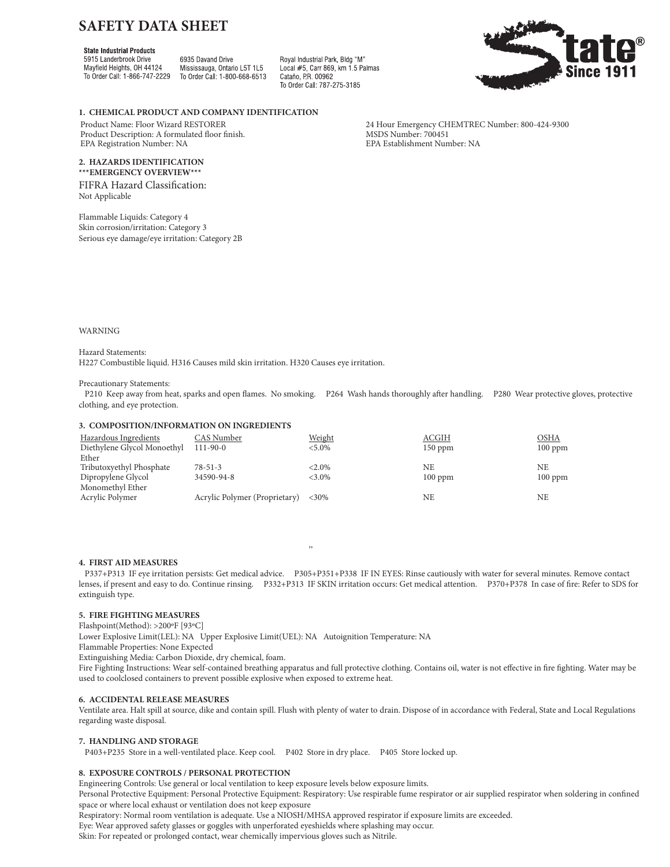# **SAFETY DATA SHEET**

# **State Industrial Products**

5915 Landerbrook Drive Mayfield Heights, OH 44124 To Order Call: 1-866-747-2229

6935 Davand Drive Mississauga, Ontario L5T 1L5 To Order Call: 1-800-668-6513 Royal Industrial Park, Bldg "M" Local #5, Carr 869, km 1.5 Palmas Cataño PR 00962 To Order Call: 787-275-3185



**1. CHEMICAL PRODUCT AND COMPANY IDENTIFICATION**

Product Description: A formulated floor finish. MSDS Number: 700451<br>
EPA Establishment Number: NA<br>
EPA Establishment Number: NA EPA Registration Number: NA

#### **2. HAZARDS IDENTIFICATION \*\*\*EMERGENCY OVERVIEW\*\*\***

FIFRA Hazard Classification: Not Applicable

Flammable Liquids: Category 4 Skin corrosion/irritation: Category 3 Serious eye damage/eye irritation: Category 2B

Product Name: Floor Wizard RESTORER 24 Hour Emergency CHEMTREC Number: 800-424-9300<br>Product Description: A formulated floor finish. MSDS Number: 700451

WARNING

Hazard Statements: H227 Combustible liquid. H316 Causes mild skin irritation. H320 Causes eye irritation.

#### Precautionary Statements:

 P210 Keep away from heat, sparks and open flames. No smoking. P264 Wash hands thoroughly after handling. P280 Wear protective gloves, protective clothing, and eye protection.

#### **3. COMPOSITION/INFORMATION ON INGREDIENTS**

| Hazardous Ingredients<br>Diethylene Glycol Monoethyl | CAS Number<br>$111 - 90 - 0$  | Weight<br>$< 5.0\%$ | <b>ACGIH</b><br>$150$ ppm | <b>OSHA</b><br>$100$ ppm |
|------------------------------------------------------|-------------------------------|---------------------|---------------------------|--------------------------|
| Ether                                                |                               |                     |                           |                          |
| Tributoxyethyl Phosphate                             | $78 - 51 - 3$                 | $< 2.0\%$           | NE                        | NF.                      |
| Dipropylene Glycol                                   | 34590-94-8                    | $<3.0\%$            | $100$ ppm                 | $100$ ppm                |
| Monomethyl Ether                                     |                               |                     |                           |                          |
| Acrylic Polymer                                      | Acrylic Polymer (Proprietary) | $<30\%$             | NE                        | NF.                      |

,,

#### **4. FIRST AID MEASURES**

 P337+P313 IF eye irritation persists: Get medical advice. P305+P351+P338 IF IN EYES: Rinse cautiously with water for several minutes. Remove contact lenses, if present and easy to do. Continue rinsing. P332+P313 IF SKIN irritation occurs: Get medical attention. P370+P378 In case of fire: Refer to SDS for extinguish type.

## **5. FIRE FIGHTING MEASURES**

Flashpoint(Method): >200ºF [93ºC]

Lower Explosive Limit(LEL): NA Upper Explosive Limit(UEL): NA Autoignition Temperature: NA

Flammable Properties: None Expected

Extinguishing Media: Carbon Dioxide, dry chemical, foam.

Fire Fighting Instructions: Wear self-contained breathing apparatus and full protective clothing. Contains oil, water is not effective in fire fighting. Water may be used to coolclosed containers to prevent possible explosive when exposed to extreme heat.

#### **6. ACCIDENTAL RELEASE MEASURES**

Ventilate area. Halt spill at source, dike and contain spill. Flush with plenty of water to drain. Dispose of in accordance with Federal, State and Local Regulations regarding waste disposal.

#### **7. HANDLING AND STORAGE**

P403+P235 Store in a well-ventilated place. Keep cool. P402 Store in dry place. P405 Store locked up.

# **8. EXPOSURE CONTROLS / PERSONAL PROTECTION**

Engineering Controls: Use general or local ventilation to keep exposure levels below exposure limits.

Personal Protective Equipment: Personal Protective Equipment: Respiratory: Use respirable fume respirator or air supplied respirator when soldering in confined space or where local exhaust or ventilation does not keep exposure

Respiratory: Normal room ventilation is adequate. Use a NIOSH/MHSA approved respirator if exposure limits are exceeded.

Eye: Wear approved safety glasses or goggles with unperforated eyeshields where splashing may occur.

Skin: For repeated or prolonged contact, wear chemically impervious gloves such as Nitrile.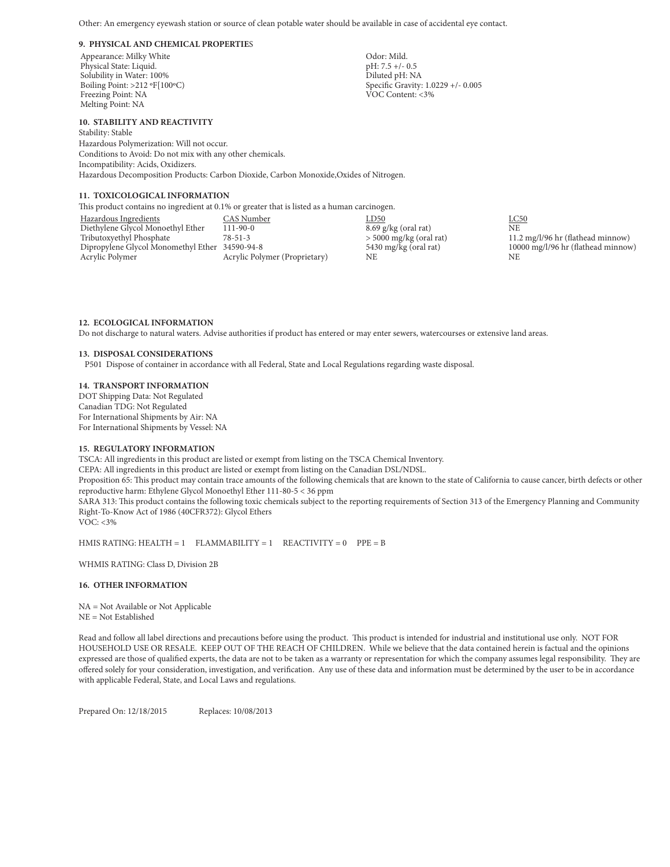Other: An emergency eyewash station or source of clean potable water should be available in case of accidental eye contact.

#### **9. PHYSICAL AND CHEMICAL PROPERTIE**S

Appearance: Milky White Chapter of Chapter and Controller Chapter of Chapter Chapter Odor: Mild.<br>
Physical State: Liquid. Chapter of Chapter of Chapter of Chapter of Chapter of Chapter of Chapter of Chapter o Physical State: Liquid.<br>
Physical State: Liquid.<br>
pH: 7.5 +/- 0.5 +/- 0.5 +/- 0.5 +/- 0.5 +/- 0.5 +/- 0.5 +/- 0.5 +/- 0.5 +/- 0.5 +/- 0.5 +/- 0.5 +/- 0.5 +/- 0 Solubility in Water: 100%<br>Boiling Point: >212 °F[100°C) Freezing Point: NA Melting Point: NA

#### **10. STABILITY AND REACTIVITY**

Stability: Stable Hazardous Polymerization: Will not occur. Conditions to Avoid: Do not mix with any other chemicals. Incompatibility: Acids, Oxidizers. Hazardous Decomposition Products: Carbon Dioxide, Carbon Monoxide,Oxides of Nitrogen.

#### **11. TOXICOLOGICAL INFORMATION**

This product contains no ingredient at 0.1% or greater that is listed as a human carcinogen.

Hazardous Ingredients CAS Number LD50 LC50 Diethylene Glycol Monoethyl Ether 111-90-0 8.69 g/kg (oral rat)<br>Tributoxyethyl Phosphate 78-51-3 > 5000 mg/kg (oral rat) Dipropylene Glycol Monomethyl Ether 34590-94-8 5430 mg/kg (oral rat) 10000 mg/l/96 hr (flathead minnow)<br>
Acrylic Polymer Acrylic Polymer (Proprietary) NE NE NE Acrylic Polymer (Proprietary)

 $11.2 \text{ mg/l}$ /96 hr (flathead minnow)

#### **12. ECOLOGICAL INFORMATION**

Do not discharge to natural waters. Advise authorities if product has entered or may enter sewers, watercourses or extensive land areas.

#### **13. DISPOSAL CONSIDERATIONS**

P501 Dispose of container in accordance with all Federal, State and Local Regulations regarding waste disposal.

#### **14. TRANSPORT INFORMATION**

DOT Shipping Data: Not Regulated Canadian TDG: Not Regulated For International Shipments by Air: NA For International Shipments by Vessel: NA

#### **15. REGULATORY INFORMATION**

TSCA: All ingredients in this product are listed or exempt from listing on the TSCA Chemical Inventory.

CEPA: All ingredients in this product are listed or exempt from listing on the Canadian DSL/NDSL.

Proposition 65: This product may contain trace amounts of the following chemicals that are known to the state of California to cause cancer, birth defects or other reproductive harm: Ethylene Glycol Monoethyl Ether 111-80-5 < 36 ppm

SARA 313: This product contains the following toxic chemicals subject to the reporting requirements of Section 313 of the Emergency Planning and Community Right-To-Know Act of 1986 (40CFR372): Glycol Ethers

VOC: <3%

HMIS RATING: HEALTH = 1 FLAMMABILITY = 1 REACTIVITY = 0 PPE = B

WHMIS RATING: Class D, Division 2B

### **16. OTHER INFORMATION**

NA = Not Available or Not Applicable NE = Not Established

Read and follow all label directions and precautions before using the product. This product is intended for industrial and institutional use only. NOT FOR HOUSEHOLD USE OR RESALE. KEEP OUT OF THE REACH OF CHILDREN. While we believe that the data contained herein is factual and the opinions expressed are those of qualified experts, the data are not to be taken as a warranty or representation for which the company assumes legal responsibility. They are offered solely for your consideration, investigation, and verification. Any use of these data and information must be determined by the user to be in accordance with applicable Federal, State, and Local Laws and regulations.

Prepared On: 12/18/2015 Replaces: 10/08/2013

Specific Gravity: 1.0229 +/- 0.005<br>VOC Content: <3%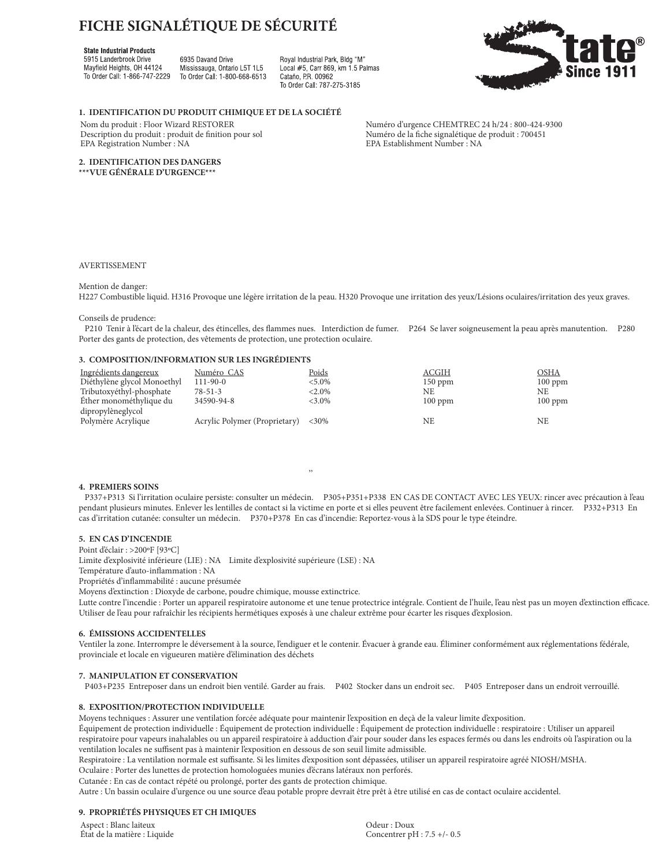# **FICHE SIGNALÉTIQUE DE SÉCURITÉ**

# **State Industrial Products**

5915 Landerbrook Drive Mayfield Heights, OH 44124 To Order Call: 1-866-747-2229

6935 Davand Drive Mississauga, Ontario L5T 1L5 To Order Call: 1-800-668-6513 Roval Industrial Park, Bldg "M" Local #5, Carr 869, km 1.5 Palmas Cataño PR 00962 To Order Call: 787-275-3185



**1. IDENTIFICATION DU PRODUIT CHIMIQUE ET DE LA SOCIÉTÉ**

Description du produit : produit de finition pour sol Numéro de la fiche signalétique de PA Establishment Number : NA<br>EPA Establishment Number : NA EPA Registration Number : NA

Nom du produit : Floor Wizard RESTORER Numéro d'urgence CHEMTREC 24 h/24 : 800-424-9300<br>Description du produit : produit de finition pour sol Numéro de la fiche signalétique de produit : 700451

**2. IDENTIFICATION DES DANGERS \*\*\*VUE GÉNÉRALE D'URGENCE\*\*\***

#### AVERTISSEMENT

Mention de danger:

H227 Combustible liquid. H316 Provoque une légère irritation de la peau. H320 Provoque une irritation des yeux/Lésions oculaires/irritation des yeux graves.

#### Conseils de prudence:

 P210 Tenir à l'écart de la chaleur, des étincelles, des flammes nues. Interdiction de fumer. P264 Se laver soigneusement la peau après manutention. P280 Porter des gants de protection, des vêtements de protection, une protection oculaire.

# **3. COMPOSITION/INFORMATION SUR LES INGRÉDIENTS**

| Ingrédients dangereux<br>Diéthylène glycol Monoethyl | Numéro CAS<br>$111-90-0$      | Poids<br>$< 5.0\%$ | ACGIH           | OSHA             |
|------------------------------------------------------|-------------------------------|--------------------|-----------------|------------------|
| Tributoxyéthyl-phosphate                             | $78 - 51 - 3$                 | $< 2.0\%$          | $150$ ppm<br>NE | $100$ ppm<br>NE. |
| Éther monométhylique du                              | 34590-94-8                    | $<3.0\%$           | $100$ ppm       | $100$ ppm        |
| dipropylèneglycol<br>Polymère Acrylique              | Acrylic Polymer (Proprietary) | ${<}30\%$          | NE              | NE.              |

,,

# **4. PREMIERS SOINS**

 P337+P313 Si l'irritation oculaire persiste: consulter un médecin. P305+P351+P338 EN CAS DE CONTACT AVEC LES YEUX: rincer avec précaution à l'eau pendant plusieurs minutes. Enlever les lentilles de contact si la victime en porte et si elles peuvent être facilement enlevées. Continuer à rincer. P332+P313 En cas d'irritation cutanée: consulter un médecin. P370+P378 En cas d'incendie: Reportez-vous à la SDS pour le type éteindre.

## **5. EN CAS D'INCENDIE**

Point d'éclair : >200ºF [93ºC]

Limite d'explosivité inférieure (LIE) : NA Limite d'explosivité supérieure (LSE) : NA

Température d'auto-inflammation : NA

Propriétés d'inflammabilité : aucune présumée

Moyens d'extinction : Dioxyde de carbone, poudre chimique, mousse extinctrice.

Lutte contre l'incendie : Porter un appareil respiratoire autonome et une tenue protectrice intégrale. Contient de l'huile, l'eau n'est pas un moyen d'extinction efficace. Utiliser de l'eau pour rafraîchir les récipients hermétiques exposés à une chaleur extrême pour écarter les risques d'explosion.

# **6. ÉMISSIONS ACCIDENTELLES**

Ventiler la zone. Interrompre le déversement à la source, l'endiguer et le contenir. Évacuer à grande eau. Éliminer conformément aux réglementations fédérale, provinciale et locale en vigueuren matière d'élimination des déchets

#### **7. MANIPULATION ET CONSERVATION**

P403+P235 Entreposer dans un endroit bien ventilé. Garder au frais. P402 Stocker dans un endroit sec. P405 Entreposer dans un endroit verrouillé.

### **8. EXPOSITION/PROTECTION INDIVIDUELLE**

Moyens techniques : Assurer une ventilation forcée adéquate pour maintenir l'exposition en deçà de la valeur limite d'exposition.

Équipement de protection individuelle : Équipement de protection individuelle : Équipement de protection individuelle : respiratoire : Utiliser un appareil respiratoire pour vapeurs inahalables ou un appareil respiratoire à adduction d'air pour souder dans les espaces fermés ou dans les endroits où l'aspiration ou la ventilation locales ne suffisent pas à maintenir l'exposition en dessous de son seuil limite admissible.

Respiratoire : La ventilation normale est suffisante. Si les limites d'exposition sont dépassées, utiliser un appareil respiratoire agréé NIOSH/MSHA. Oculaire : Porter des lunettes de protection homologuées munies d'écrans latéraux non perforés.

Cutanée : En cas de contact répété ou prolongé, porter des gants de protection chimique.

Autre : Un bassin oculaire d'urgence ou une source d'eau potable propre devrait être prêt à être utilisé en cas de contact oculaire accidentel.

# **9. PROPRIÉTÉS PHYSIQUES ET CH IMIQUES**

Aspect : Blanc laiteux Odeur : Doux

État de la matière : Liquide Concentrer pH : 7.5 +/- 0.5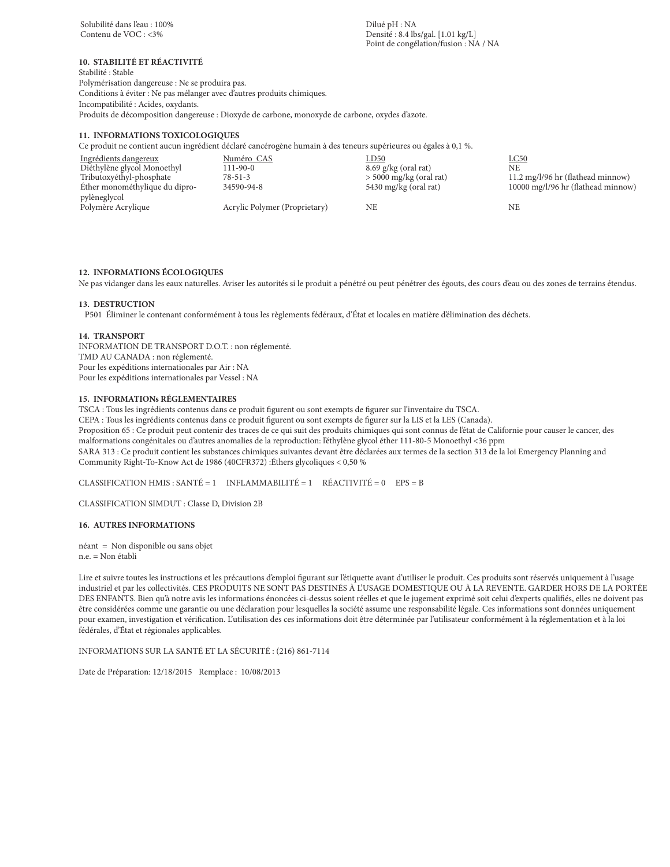$Densité : 8.4 lbs/gal. [1.01 kg/L]$ Point de congélation/fusion : NA / NA

# **10. STABILITÉ ET RÉACTIVITÉ**

Stabilité : Stable Polymérisation dangereuse : Ne se produira pas. Conditions à éviter : Ne pas mélanger avec d'autres produits chimiques. Incompatibilité : Acides, oxydants. Produits de décomposition dangereuse : Dioxyde de carbone, monoxyde de carbone, oxydes d'azote.

#### **11. INFORMATIONS TOXICOLOGIQUES**

Ce produit ne contient aucun ingrédient déclaré cancérogène humain à des teneurs supérieures ou égales à 0,1 %.

| Ingrédients dangereux          | Numéro CAS                    | LD50                      | $_{\text{LC}50}$                   |
|--------------------------------|-------------------------------|---------------------------|------------------------------------|
| Diéthylène glycol Monoethyl    | $111 - 90 - 0$                | $8.69$ g/kg (oral rat)    | NE                                 |
| Tributoxyéthyl-phosphate       | $78 - 51 - 3$                 | $>$ 5000 mg/kg (oral rat) | 11.2 mg/l/96 hr (flathead minnow)  |
| Éther monométhylique du dipro- | 34590-94-8                    | 5430 mg/kg (oral rat)     | 10000 mg/l/96 hr (flathead minnow) |
| pylèneglycol                   |                               |                           |                                    |
| Polymère Acrylique             | Acrylic Polymer (Proprietary) | NE                        | NE                                 |

## **12. INFORMATIONS ÉCOLOGIQUES**

Ne pas vidanger dans les eaux naturelles. Aviser les autorités si le produit a pénétré ou peut pénétrer des égouts, des cours d'eau ou des zones de terrains étendus.

#### **13. DESTRUCTION**

P501 Éliminer le contenant conformément à tous les règlements fédéraux, d'État et locales en matière d'élimination des déchets.

#### **14. TRANSPORT**

INFORMATION DE TRANSPORT D.O.T. : non réglementé. TMD AU CANADA : non réglementé. Pour les expéditions internationales par Air : NA Pour les expéditions internationales par Vessel : NA

#### **15. INFORMATIONs RÉGLEMENTAIRES**

TSCA : Tous les ingrédients contenus dans ce produit figurent ou sont exempts de figurer sur l'inventaire du TSCA.

CEPA : Tous les ingrédients contenus dans ce produit figurent ou sont exempts de figurer sur la LIS et la LES (Canada).

Proposition 65 : Ce produit peut contenir des traces de ce qui suit des produits chimiques qui sont connus de l'état de Californie pour causer le cancer, des malformations congénitales ou d'autres anomalies de la reproduction: l'éthylène glycol éther 111-80-5 Monoethyl <36 ppm SARA 313 : Ce produit contient les substances chimiques suivantes devant être déclarées aux termes de la section 313 de la loi Emergency Planning and Community Right-To-Know Act de 1986 (40CFR372) :Éthers glycoliques < 0,50 %

CLASSIFICATION HMIS : SANTÉ = 1 INFLAMMABILITÉ = 1 RÉACTIVITÉ = 0 EPS = B

CLASSIFICATION SIMDUT : Classe D, Division 2B

#### **16. AUTRES INFORMATIONS**

néant = Non disponible ou sans objet n.e. = Non établi

Lire et suivre toutes les instructions et les précautions d'emploi figurant sur l'étiquette avant d'utiliser le produit. Ces produits sont réservés uniquement à l'usage industriel et par les collectivités. CES PRODUITS NE SONT PAS DESTINÉS À L'USAGE DOMESTIQUE OU À LA REVENTE. GARDER HORS DE LA PORTÉE DES ENFANTS. Bien qu'à notre avis les informations énoncées ci-dessus soient réelles et que le jugement exprimé soit celui d'experts qualifiés, elles ne doivent pas être considérées comme une garantie ou une déclaration pour lesquelles la société assume une responsabilité légale. Ces informations sont données uniquement pour examen, investigation et vérification. L'utilisation des ces informations doit être déterminée par l'utilisateur conformément à la réglementation et à la loi fédérales, d'État et régionales applicables.

INFORMATIONS SUR LA SANTÉ ET LA SÉCURITÉ : (216) 861-7114

Date de Préparation: 12/18/2015 Remplace : 10/08/2013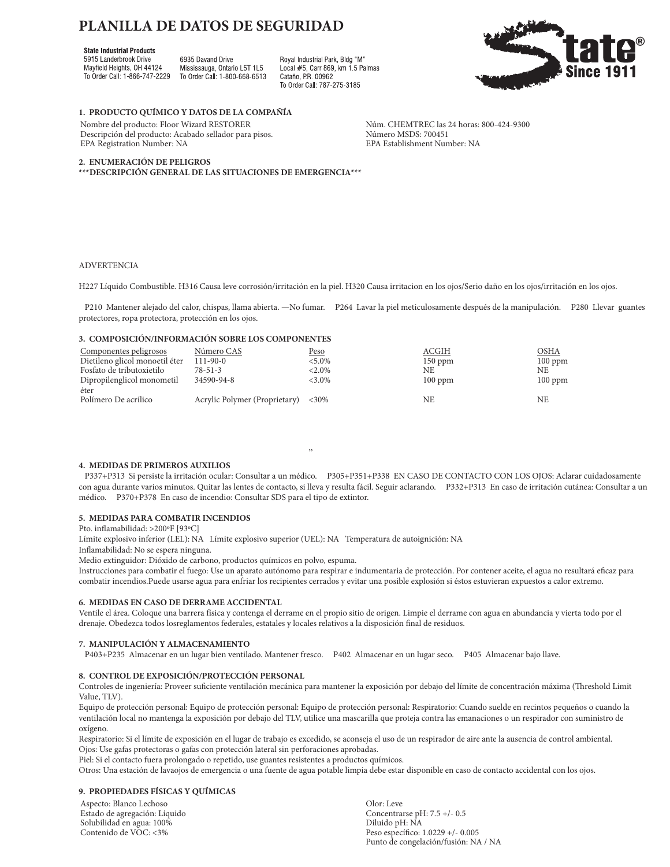# **PLANILLA DE DATOS DE SEGURIDAD**

## **State Industrial Products**

5915 Landerbrook Drive Mayfield Heights, OH 44124 To Order Call: 1-866-747-2229

6935 Davand Drive Mississauga, Ontario L5T 1L5 To Order Call: 1-800-668-6513 Royal Industrial Park, Bldg "M" Local #5, Carr 869, km 1.5 Palmas Cataño PR 00962 To Order Call: 787-275-3185



# **1. PRODUCTO QUÍMICO Y DATOS DE LA COMPAÑÍA**

Nombre del producto: Floor Wizard RESTORER Núm. CHEMTREC las 24 horas: 800-424-9300<br>Descripción del producto: Acabado sellador para pisos. Número MSDS: 700451 Descripción del producto: Acabado sellador para pisos.<br>
EPA Registration Number: NA BEA Establishment Number: NA EPA Registration Number: NA

#### **2. ENUMERACIÓN DE PELIGROS**

**\*\*\*DESCRIPCIÓN GENERAL DE LAS SITUACIONES DE EMERGENCIA\*\*\***

#### ADVERTENCIA

H227 Líquido Combustible. H316 Causa leve corrosión/irritación en la piel. H320 Causa irritacion en los ojos/Serio daño en los ojos/irritación en los ojos.

 P210 Mantener alejado del calor, chispas, llama abierta. —No fumar. P264 Lavar la piel meticulosamente después de la manipulación. P280 Llevar guantes protectores, ropa protectora, protección en los ojos.

# **3. COMPOSICIÓN/INFORMACIÓN SOBRE LOS COMPONENTES**

| Componentes peligrosos         | Número CAS                    | <u>Peso</u> | ACGIH     | OSHA      |
|--------------------------------|-------------------------------|-------------|-----------|-----------|
| Dietileno glicol monoetil éter | $111-90-0$                    | $< 5.0\%$   | $150$ ppm | $100$ ppm |
| Fosfato de tributoxietilo      | $78 - 51 - 3$                 | $< 2.0\%$   | NE        | NE.       |
| Dipropilenglicol monometil     | 34590-94-8                    | $<3.0\%$    | $100$ ppm | $100$ ppm |
| éter<br>Polímero De acrílico   | Acrylic Polymer (Proprietary) | ${<}30\%$   | NE        | NF.       |

,,

#### **4. MEDIDAS DE PRIMEROS AUXILIOS**

 P337+P313 Si persiste la irritación ocular: Consultar a un médico. P305+P351+P338 EN CASO DE CONTACTO CON LOS OJOS: Aclarar cuidadosamente con agua durante varios minutos. Quitar las lentes de contacto, si lleva y resulta fácil. Seguir aclarando. P332+P313 En caso de irritación cutánea: Consultar a un médico. P370+P378 En caso de incendio: Consultar SDS para el tipo de extintor.

# **5. MEDIDAS PARA COMBATIR INCENDIOS**

Pto. inflamabilidad: >200ºF [93ºC]

Límite explosivo inferior (LEL): NA Límite explosivo superior (UEL): NA Temperatura de autoignición: NA

Inflamabilidad: No se espera ninguna.

Medio extinguidor: Dióxido de carbono, productos químicos en polvo, espuma.

Instrucciones para combatir el fuego: Use un aparato autónomo para respirar e indumentaria de protección. Por contener aceite, el agua no resultará eficaz para combatir incendios.Puede usarse agua para enfriar los recipientes cerrados y evitar una posible explosión si éstos estuvieran expuestos a calor extremo.

#### **6. MEDIDAS EN CASO DE DERRAME ACCIDENTAL**

Ventile el área. Coloque una barrera física y contenga el derrame en el propio sitio de origen. Limpie el derrame con agua en abundancia y vierta todo por el drenaje. Obedezca todos losreglamentos federales, estatales y locales relativos a la disposición final de residuos.

#### **7. MANIPULACIÓN Y ALMACENAMIENTO**

P403+P235 Almacenar en un lugar bien ventilado. Mantener fresco. P402 Almacenar en un lugar seco. P405 Almacenar bajo llave.

# **8. CONTROL DE EXPOSICIÓN/PROTECCIÓN PERSONAL**

Controles de ingeniería: Proveer suficiente ventilación mecánica para mantener la exposición por debajo del límite de concentración máxima (Threshold Limit Value, TLV).

Equipo de protección personal: Equipo de protección personal: Equipo de protección personal: Respiratorio: Cuando suelde en recintos pequeños o cuando la ventilación local no mantenga la exposición por debajo del TLV, utilice una mascarilla que proteja contra las emanaciones o un respirador con suministro de oxígeno.

Respiratorio: Si el límite de exposición en el lugar de trabajo es excedido, se aconseja el uso de un respirador de aire ante la ausencia de control ambiental. Ojos: Use gafas protectoras o gafas con protección lateral sin perforaciones aprobadas.

Piel: Si el contacto fuera prolongado o repetido, use guantes resistentes a productos químicos.

Otros: Una estación de lavaojos de emergencia o una fuente de agua potable limpia debe estar disponible en caso de contacto accidental con los ojos.

#### **9. PROPIEDADES FÍSICAS Y QUÍMICAS**

Aspecto: Blanco Lechoso Olor: Leve Estado de agregación: Líquido de agregación: Líquido de agregación: Concentrarse pH: NA concentrarse pH: 7.5 +/-- 0.5 +/-- 0.5 +/-- 0.5 +/-- 0.5 +/-- 0.5 +/-- 0.5 +/-- 0.5 +/-- 0.5 +/-- 0.5 +/-- 0.5 +/-- 0.5 +/-- 0.5 +/-- Solubilidad en agua: 100%<br>Contenido de VOC: <3%

Peso específico: 1.0229 +/- 0.005 Punto de congelación/fusión: NA / NA